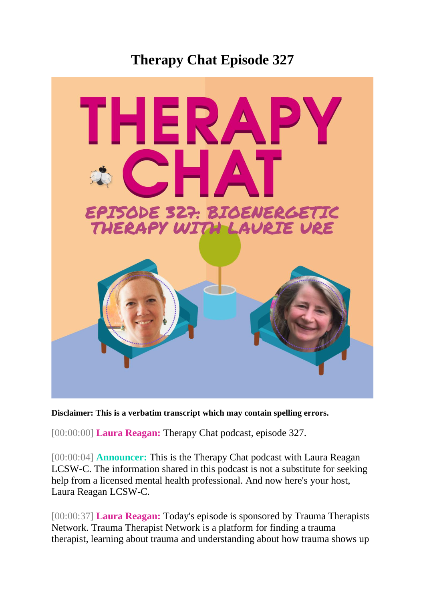## **Therapy Chat Episode 327**



**Disclaimer: This is a verbatim transcript which may contain spelling errors.**

[00:00:00] **Laura Reagan:** Therapy Chat podcast, episode 327.

[00:00:04] **Announcer:** This is the Therapy Chat podcast with Laura Reagan LCSW-C. The information shared in this podcast is not a substitute for seeking help from a licensed mental health professional. And now here's your host, Laura Reagan LCSW-C.

[00:00:37] **Laura Reagan:** Today's episode is sponsored by Trauma Therapists Network. Trauma Therapist Network is a platform for finding a trauma therapist, learning about trauma and understanding about how trauma shows up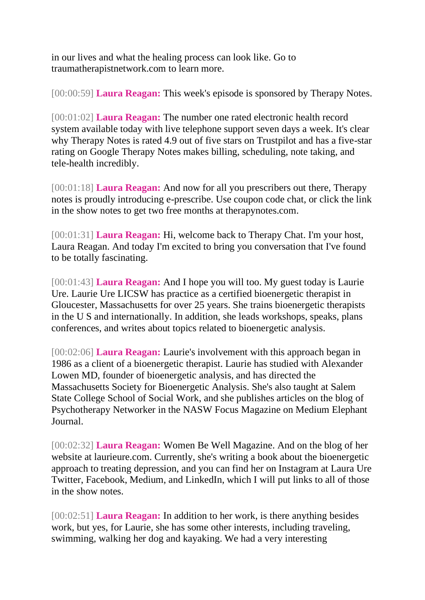in our lives and what the healing process can look like. Go to traumatherapistnetwork.com to learn more.

[00:00:59] **Laura Reagan:** This week's episode is sponsored by Therapy Notes.

[00:01:02] **Laura Reagan:** The number one rated electronic health record system available today with live telephone support seven days a week. It's clear why Therapy Notes is rated 4.9 out of five stars on Trustpilot and has a five-star rating on Google Therapy Notes makes billing, scheduling, note taking, and tele-health incredibly.

[00:01:18] **Laura Reagan:** And now for all you prescribers out there, Therapy notes is proudly introducing e-prescribe. Use coupon code chat, or click the link in the show notes to get two free months at therapynotes.com.

[00:01:31] **Laura Reagan:** Hi, welcome back to Therapy Chat. I'm your host, Laura Reagan. And today I'm excited to bring you conversation that I've found to be totally fascinating.

[00:01:43] **Laura Reagan:** And I hope you will too. My guest today is Laurie Ure. Laurie Ure LICSW has practice as a certified bioenergetic therapist in Gloucester, Massachusetts for over 25 years. She trains bioenergetic therapists in the U S and internationally. In addition, she leads workshops, speaks, plans conferences, and writes about topics related to bioenergetic analysis.

[00:02:06] **Laura Reagan:** Laurie's involvement with this approach began in 1986 as a client of a bioenergetic therapist. Laurie has studied with Alexander Lowen MD, founder of bioenergetic analysis, and has directed the Massachusetts Society for Bioenergetic Analysis. She's also taught at Salem State College School of Social Work, and she publishes articles on the blog of Psychotherapy Networker in the NASW Focus Magazine on Medium Elephant Journal.

[00:02:32] **Laura Reagan:** Women Be Well Magazine. And on the blog of her website at laurieure.com. Currently, she's writing a book about the bioenergetic approach to treating depression, and you can find her on Instagram at Laura Ure Twitter, Facebook, Medium, and LinkedIn, which I will put links to all of those in the show notes.

[00:02:51] **Laura Reagan:** In addition to her work, is there anything besides work, but yes, for Laurie, she has some other interests, including traveling, swimming, walking her dog and kayaking. We had a very interesting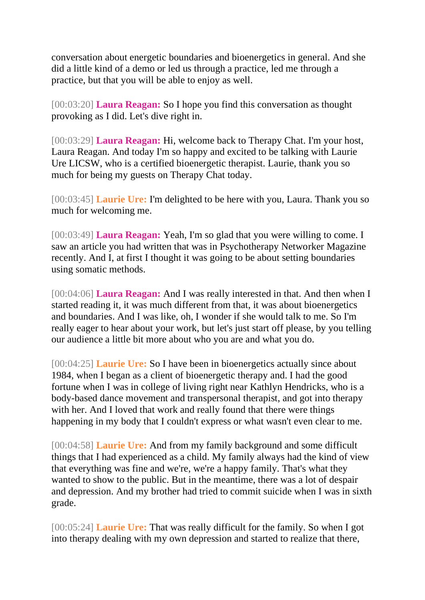conversation about energetic boundaries and bioenergetics in general. And she did a little kind of a demo or led us through a practice, led me through a practice, but that you will be able to enjoy as well.

[00:03:20] **Laura Reagan:** So I hope you find this conversation as thought provoking as I did. Let's dive right in.

[00:03:29] **Laura Reagan:** Hi, welcome back to Therapy Chat. I'm your host, Laura Reagan. And today I'm so happy and excited to be talking with Laurie Ure LICSW, who is a certified bioenergetic therapist. Laurie, thank you so much for being my guests on Therapy Chat today.

[00:03:45] **Laurie Ure:** I'm delighted to be here with you, Laura. Thank you so much for welcoming me.

[00:03:49] **Laura Reagan:** Yeah, I'm so glad that you were willing to come. I saw an article you had written that was in Psychotherapy Networker Magazine recently. And I, at first I thought it was going to be about setting boundaries using somatic methods.

[00:04:06] **Laura Reagan:** And I was really interested in that. And then when I started reading it, it was much different from that, it was about bioenergetics and boundaries. And I was like, oh, I wonder if she would talk to me. So I'm really eager to hear about your work, but let's just start off please, by you telling our audience a little bit more about who you are and what you do.

[00:04:25] **Laurie Ure:** So I have been in bioenergetics actually since about 1984, when I began as a client of bioenergetic therapy and. I had the good fortune when I was in college of living right near Kathlyn Hendricks, who is a body-based dance movement and transpersonal therapist, and got into therapy with her. And I loved that work and really found that there were things happening in my body that I couldn't express or what wasn't even clear to me.

[00:04:58] **Laurie Ure:** And from my family background and some difficult things that I had experienced as a child. My family always had the kind of view that everything was fine and we're, we're a happy family. That's what they wanted to show to the public. But in the meantime, there was a lot of despair and depression. And my brother had tried to commit suicide when I was in sixth grade.

[00:05:24] **Laurie Ure:** That was really difficult for the family. So when I got into therapy dealing with my own depression and started to realize that there,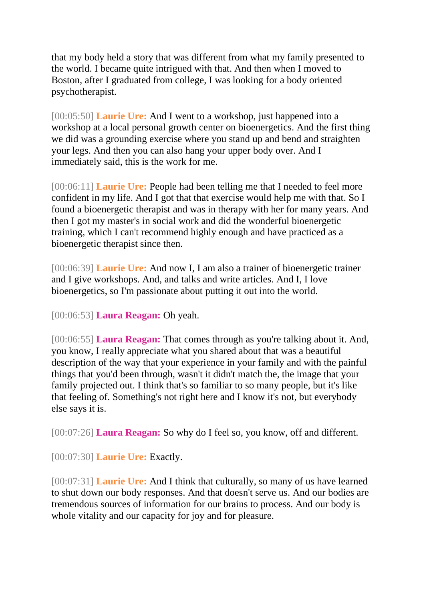that my body held a story that was different from what my family presented to the world. I became quite intrigued with that. And then when I moved to Boston, after I graduated from college, I was looking for a body oriented psychotherapist.

[00:05:50] **Laurie Ure:** And I went to a workshop, just happened into a workshop at a local personal growth center on bioenergetics. And the first thing we did was a grounding exercise where you stand up and bend and straighten your legs. And then you can also hang your upper body over. And I immediately said, this is the work for me.

[00:06:11] **Laurie Ure:** People had been telling me that I needed to feel more confident in my life. And I got that that exercise would help me with that. So I found a bioenergetic therapist and was in therapy with her for many years. And then I got my master's in social work and did the wonderful bioenergetic training, which I can't recommend highly enough and have practiced as a bioenergetic therapist since then.

[00:06:39] **Laurie Ure:** And now I, I am also a trainer of bioenergetic trainer and I give workshops. And, and talks and write articles. And I, I love bioenergetics, so I'm passionate about putting it out into the world.

[00:06:53] **Laura Reagan:** Oh yeah.

[00:06:55] **Laura Reagan:** That comes through as you're talking about it. And, you know, I really appreciate what you shared about that was a beautiful description of the way that your experience in your family and with the painful things that you'd been through, wasn't it didn't match the, the image that your family projected out. I think that's so familiar to so many people, but it's like that feeling of. Something's not right here and I know it's not, but everybody else says it is.

[00:07:26] **Laura Reagan:** So why do I feel so, you know, off and different.

[00:07:30] **Laurie Ure:** Exactly.

[00:07:31] **Laurie Ure:** And I think that culturally, so many of us have learned to shut down our body responses. And that doesn't serve us. And our bodies are tremendous sources of information for our brains to process. And our body is whole vitality and our capacity for joy and for pleasure.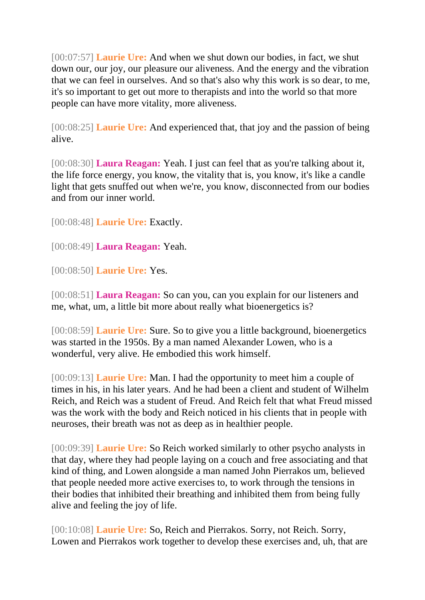[00:07:57] **Laurie Ure:** And when we shut down our bodies, in fact, we shut down our, our joy, our pleasure our aliveness. And the energy and the vibration that we can feel in ourselves. And so that's also why this work is so dear, to me, it's so important to get out more to therapists and into the world so that more people can have more vitality, more aliveness.

[00:08:25] **Laurie Ure:** And experienced that, that joy and the passion of being alive.

[00:08:30] **Laura Reagan:** Yeah. I just can feel that as you're talking about it, the life force energy, you know, the vitality that is, you know, it's like a candle light that gets snuffed out when we're, you know, disconnected from our bodies and from our inner world.

[00:08:48] **Laurie Ure:** Exactly.

[00:08:49] **Laura Reagan:** Yeah.

[00:08:50] **Laurie Ure:** Yes.

[00:08:51] **Laura Reagan:** So can you, can you explain for our listeners and me, what, um, a little bit more about really what bioenergetics is?

[00:08:59] **Laurie Ure:** Sure. So to give you a little background, bioenergetics was started in the 1950s. By a man named Alexander Lowen, who is a wonderful, very alive. He embodied this work himself.

[00:09:13] **Laurie Ure:** Man. I had the opportunity to meet him a couple of times in his, in his later years. And he had been a client and student of Wilhelm Reich, and Reich was a student of Freud. And Reich felt that what Freud missed was the work with the body and Reich noticed in his clients that in people with neuroses, their breath was not as deep as in healthier people.

[00:09:39] **Laurie Ure:** So Reich worked similarly to other psycho analysts in that day, where they had people laying on a couch and free associating and that kind of thing, and Lowen alongside a man named John Pierrakos um, believed that people needed more active exercises to, to work through the tensions in their bodies that inhibited their breathing and inhibited them from being fully alive and feeling the joy of life.

[00:10:08] **Laurie Ure:** So, Reich and Pierrakos. Sorry, not Reich. Sorry, Lowen and Pierrakos work together to develop these exercises and, uh, that are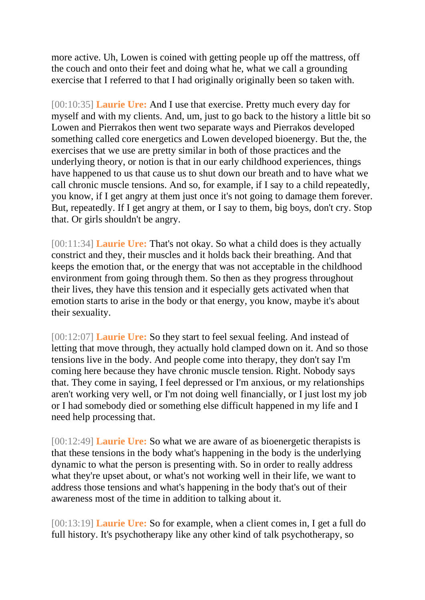more active. Uh, Lowen is coined with getting people up off the mattress, off the couch and onto their feet and doing what he, what we call a grounding exercise that I referred to that I had originally originally been so taken with.

[00:10:35] **Laurie Ure:** And I use that exercise. Pretty much every day for myself and with my clients. And, um, just to go back to the history a little bit so Lowen and Pierrakos then went two separate ways and Pierrakos developed something called core energetics and Lowen developed bioenergy. But the, the exercises that we use are pretty similar in both of those practices and the underlying theory, or notion is that in our early childhood experiences, things have happened to us that cause us to shut down our breath and to have what we call chronic muscle tensions. And so, for example, if I say to a child repeatedly, you know, if I get angry at them just once it's not going to damage them forever. But, repeatedly. If I get angry at them, or I say to them, big boys, don't cry. Stop that. Or girls shouldn't be angry.

[00:11:34] **Laurie Ure:** That's not okay. So what a child does is they actually constrict and they, their muscles and it holds back their breathing. And that keeps the emotion that, or the energy that was not acceptable in the childhood environment from going through them. So then as they progress throughout their lives, they have this tension and it especially gets activated when that emotion starts to arise in the body or that energy, you know, maybe it's about their sexuality.

[00:12:07] **Laurie Ure:** So they start to feel sexual feeling. And instead of letting that move through, they actually hold clamped down on it. And so those tensions live in the body. And people come into therapy, they don't say I'm coming here because they have chronic muscle tension. Right. Nobody says that. They come in saying, I feel depressed or I'm anxious, or my relationships aren't working very well, or I'm not doing well financially, or I just lost my job or I had somebody died or something else difficult happened in my life and I need help processing that.

[00:12:49] **Laurie Ure:** So what we are aware of as bioenergetic therapists is that these tensions in the body what's happening in the body is the underlying dynamic to what the person is presenting with. So in order to really address what they're upset about, or what's not working well in their life, we want to address those tensions and what's happening in the body that's out of their awareness most of the time in addition to talking about it.

[00:13:19] **Laurie Ure:** So for example, when a client comes in, I get a full do full history. It's psychotherapy like any other kind of talk psychotherapy, so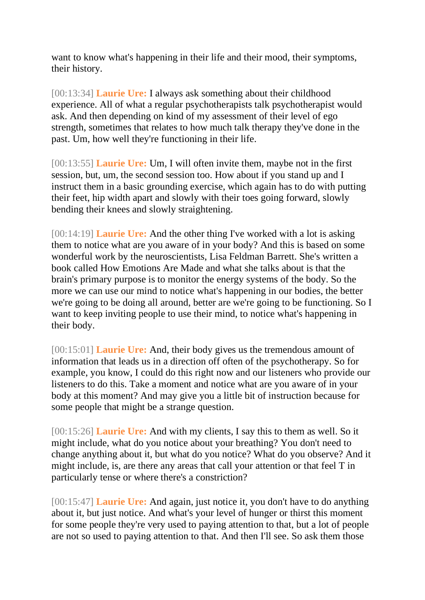want to know what's happening in their life and their mood, their symptoms, their history.

[00:13:34] **Laurie Ure:** I always ask something about their childhood experience. All of what a regular psychotherapists talk psychotherapist would ask. And then depending on kind of my assessment of their level of ego strength, sometimes that relates to how much talk therapy they've done in the past. Um, how well they're functioning in their life.

[00:13:55] **Laurie Ure:** Um, I will often invite them, maybe not in the first session, but, um, the second session too. How about if you stand up and I instruct them in a basic grounding exercise, which again has to do with putting their feet, hip width apart and slowly with their toes going forward, slowly bending their knees and slowly straightening.

[00:14:19] **Laurie Ure:** And the other thing I've worked with a lot is asking them to notice what are you aware of in your body? And this is based on some wonderful work by the neuroscientists, Lisa Feldman Barrett. She's written a book called How Emotions Are Made and what she talks about is that the brain's primary purpose is to monitor the energy systems of the body. So the more we can use our mind to notice what's happening in our bodies, the better we're going to be doing all around, better are we're going to be functioning. So I want to keep inviting people to use their mind, to notice what's happening in their body.

[00:15:01] **Laurie Ure:** And, their body gives us the tremendous amount of information that leads us in a direction off often of the psychotherapy. So for example, you know, I could do this right now and our listeners who provide our listeners to do this. Take a moment and notice what are you aware of in your body at this moment? And may give you a little bit of instruction because for some people that might be a strange question.

[00:15:26] **Laurie Ure:** And with my clients, I say this to them as well. So it might include, what do you notice about your breathing? You don't need to change anything about it, but what do you notice? What do you observe? And it might include, is, are there any areas that call your attention or that feel T in particularly tense or where there's a constriction?

[00:15:47] **Laurie Ure:** And again, just notice it, you don't have to do anything about it, but just notice. And what's your level of hunger or thirst this moment for some people they're very used to paying attention to that, but a lot of people are not so used to paying attention to that. And then I'll see. So ask them those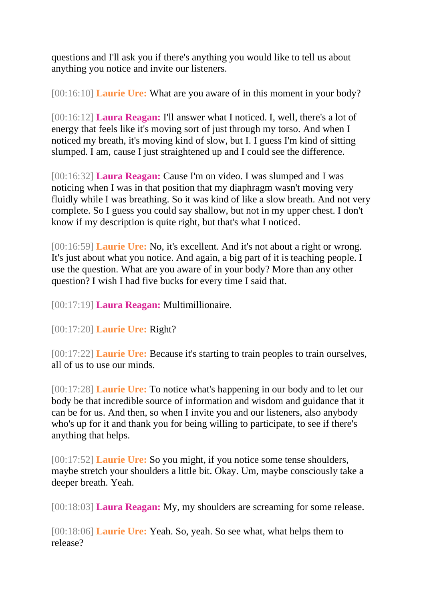questions and I'll ask you if there's anything you would like to tell us about anything you notice and invite our listeners.

[00:16:10] **Laurie Ure:** What are you aware of in this moment in your body?

[00:16:12] **Laura Reagan:** I'll answer what I noticed. I, well, there's a lot of energy that feels like it's moving sort of just through my torso. And when I noticed my breath, it's moving kind of slow, but I. I guess I'm kind of sitting slumped. I am, cause I just straightened up and I could see the difference.

[00:16:32] **Laura Reagan:** Cause I'm on video. I was slumped and I was noticing when I was in that position that my diaphragm wasn't moving very fluidly while I was breathing. So it was kind of like a slow breath. And not very complete. So I guess you could say shallow, but not in my upper chest. I don't know if my description is quite right, but that's what I noticed.

[00:16:59] **Laurie Ure:** No, it's excellent. And it's not about a right or wrong. It's just about what you notice. And again, a big part of it is teaching people. I use the question. What are you aware of in your body? More than any other question? I wish I had five bucks for every time I said that.

[00:17:19] **Laura Reagan:** Multimillionaire.

[00:17:20] **Laurie Ure:** Right?

[00:17:22] **Laurie Ure:** Because it's starting to train peoples to train ourselves, all of us to use our minds.

[00:17:28] **Laurie Ure:** To notice what's happening in our body and to let our body be that incredible source of information and wisdom and guidance that it can be for us. And then, so when I invite you and our listeners, also anybody who's up for it and thank you for being willing to participate, to see if there's anything that helps.

[00:17:52] **Laurie Ure:** So you might, if you notice some tense shoulders, maybe stretch your shoulders a little bit. Okay. Um, maybe consciously take a deeper breath. Yeah.

[00:18:03] **Laura Reagan:** My, my shoulders are screaming for some release.

[00:18:06] **Laurie Ure:** Yeah. So, yeah. So see what, what helps them to release?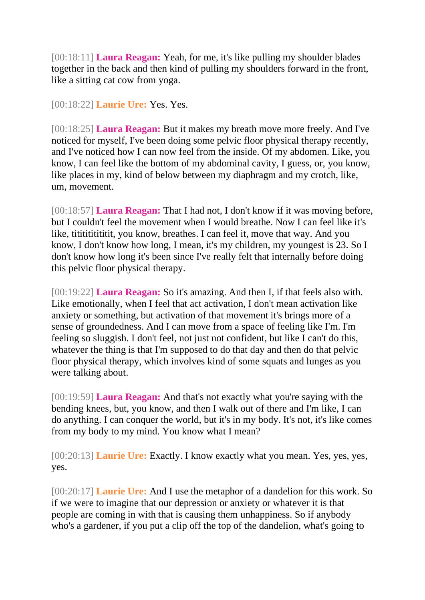[00:18:11] **Laura Reagan:** Yeah, for me, it's like pulling my shoulder blades together in the back and then kind of pulling my shoulders forward in the front, like a sitting cat cow from yoga.

[00:18:22] **Laurie Ure:** Yes. Yes.

[00:18:25] **Laura Reagan:** But it makes my breath move more freely. And I've noticed for myself, I've been doing some pelvic floor physical therapy recently, and I've noticed how I can now feel from the inside. Of my abdomen. Like, you know, I can feel like the bottom of my abdominal cavity, I guess, or, you know, like places in my, kind of below between my diaphragm and my crotch, like, um, movement.

[00:18:57] **Laura Reagan:** That I had not, I don't know if it was moving before, but I couldn't feel the movement when I would breathe. Now I can feel like it's like, tititititititititititititititit, you know, breathes. I can feel it, move that way. And you know, I don't know how long, I mean, it's my children, my youngest is 23. So I don't know how long it's been since I've really felt that internally before doing this pelvic floor physical therapy.

[00:19:22] **Laura Reagan:** So it's amazing. And then I, if that feels also with. Like emotionally, when I feel that act activation, I don't mean activation like anxiety or something, but activation of that movement it's brings more of a sense of groundedness. And I can move from a space of feeling like I'm. I'm feeling so sluggish. I don't feel, not just not confident, but like I can't do this, whatever the thing is that I'm supposed to do that day and then do that pelvic floor physical therapy, which involves kind of some squats and lunges as you were talking about.

[00:19:59] **Laura Reagan:** And that's not exactly what you're saying with the bending knees, but, you know, and then I walk out of there and I'm like, I can do anything. I can conquer the world, but it's in my body. It's not, it's like comes from my body to my mind. You know what I mean?

[00:20:13] **Laurie Ure:** Exactly. I know exactly what you mean. Yes, yes, yes, yes.

[00:20:17] **Laurie Ure:** And I use the metaphor of a dandelion for this work. So if we were to imagine that our depression or anxiety or whatever it is that people are coming in with that is causing them unhappiness. So if anybody who's a gardener, if you put a clip off the top of the dandelion, what's going to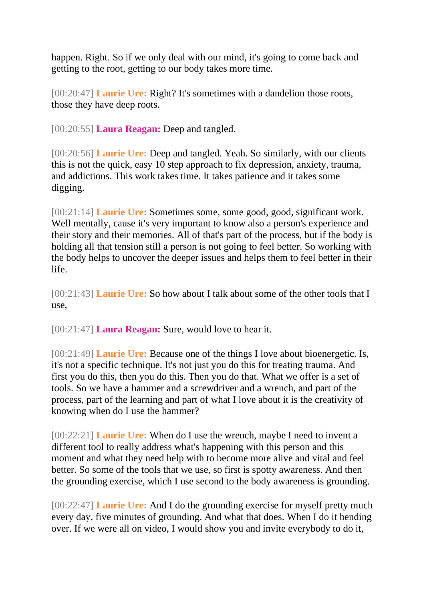happen. Right. So if we only deal with our mind, it's going to come back and getting to the root, getting to our body takes more time.

[00:20:47] **Laurie Ure:** Right? It's sometimes with a dandelion those roots, those they have deep roots.

[00:20:55] **Laura Reagan:** Deep and tangled.

[00:20:56] **Laurie Ure:** Deep and tangled. Yeah. So similarly, with our clients this is not the quick, easy 10 step approach to fix depression, anxiety, trauma, and addictions. This work takes time. It takes patience and it takes some digging.

[00:21:14] **Laurie Ure:** Sometimes some, some good, good, significant work. Well mentally, cause it's very important to know also a person's experience and their story and their memories. All of that's part of the process, but if the body is holding all that tension still a person is not going to feel better. So working with the body helps to uncover the deeper issues and helps them to feel better in their life.

[00:21:43] **Laurie Ure:** So how about I talk about some of the other tools that I use,

[00:21:47] **Laura Reagan:** Sure, would love to hear it.

[00:21:49] **Laurie Ure:** Because one of the things I love about bioenergetic. Is, it's not a specific technique. It's not just you do this for treating trauma. And first you do this, then you do this. Then you do that. What we offer is a set of tools. So we have a hammer and a screwdriver and a wrench, and part of the process, part of the learning and part of what I love about it is the creativity of knowing when do I use the hammer?

[00:22:21] **Laurie Ure:** When do I use the wrench, maybe I need to invent a different tool to really address what's happening with this person and this moment and what they need help with to become more alive and vital and feel better. So some of the tools that we use, so first is spotty awareness. And then the grounding exercise, which I use second to the body awareness is grounding.

[00:22:47] **Laurie Ure:** And I do the grounding exercise for myself pretty much every day, five minutes of grounding. And what that does. When I do it bending over. If we were all on video, I would show you and invite everybody to do it,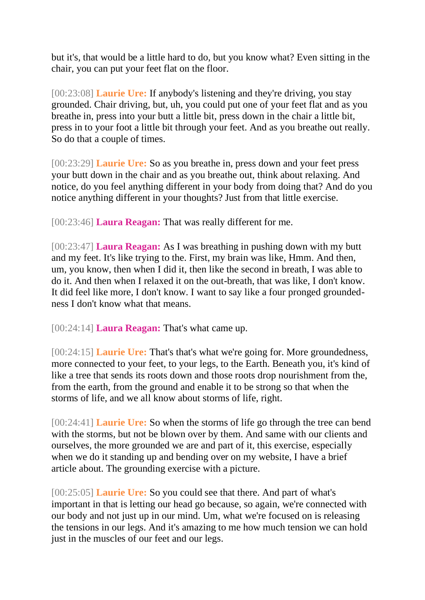but it's, that would be a little hard to do, but you know what? Even sitting in the chair, you can put your feet flat on the floor.

[00:23:08] **Laurie Ure:** If anybody's listening and they're driving, you stay grounded. Chair driving, but, uh, you could put one of your feet flat and as you breathe in, press into your butt a little bit, press down in the chair a little bit, press in to your foot a little bit through your feet. And as you breathe out really. So do that a couple of times.

[00:23:29] **Laurie Ure:** So as you breathe in, press down and your feet press your butt down in the chair and as you breathe out, think about relaxing. And notice, do you feel anything different in your body from doing that? And do you notice anything different in your thoughts? Just from that little exercise.

[00:23:46] **Laura Reagan:** That was really different for me.

[00:23:47] **Laura Reagan:** As I was breathing in pushing down with my butt and my feet. It's like trying to the. First, my brain was like, Hmm. And then, um, you know, then when I did it, then like the second in breath, I was able to do it. And then when I relaxed it on the out-breath, that was like, I don't know. It did feel like more, I don't know. I want to say like a four pronged groundedness I don't know what that means.

[00:24:14] **Laura Reagan:** That's what came up.

[00:24:15] **Laurie Ure:** That's that's what we're going for. More groundedness, more connected to your feet, to your legs, to the Earth. Beneath you, it's kind of like a tree that sends its roots down and those roots drop nourishment from the, from the earth, from the ground and enable it to be strong so that when the storms of life, and we all know about storms of life, right.

[00:24:41] **Laurie Ure:** So when the storms of life go through the tree can bend with the storms, but not be blown over by them. And same with our clients and ourselves, the more grounded we are and part of it, this exercise, especially when we do it standing up and bending over on my website, I have a brief article about. The grounding exercise with a picture.

[00:25:05] **Laurie Ure:** So you could see that there. And part of what's important in that is letting our head go because, so again, we're connected with our body and not just up in our mind. Um, what we're focused on is releasing the tensions in our legs. And it's amazing to me how much tension we can hold just in the muscles of our feet and our legs.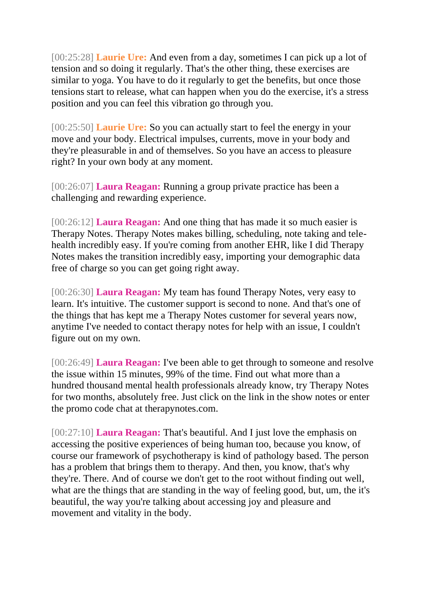[00:25:28] **Laurie Ure:** And even from a day, sometimes I can pick up a lot of tension and so doing it regularly. That's the other thing, these exercises are similar to yoga. You have to do it regularly to get the benefits, but once those tensions start to release, what can happen when you do the exercise, it's a stress position and you can feel this vibration go through you.

[00:25:50] **Laurie Ure:** So you can actually start to feel the energy in your move and your body. Electrical impulses, currents, move in your body and they're pleasurable in and of themselves. So you have an access to pleasure right? In your own body at any moment.

[00:26:07] **Laura Reagan:** Running a group private practice has been a challenging and rewarding experience.

[00:26:12] **Laura Reagan:** And one thing that has made it so much easier is Therapy Notes. Therapy Notes makes billing, scheduling, note taking and telehealth incredibly easy. If you're coming from another EHR, like I did Therapy Notes makes the transition incredibly easy, importing your demographic data free of charge so you can get going right away.

[00:26:30] **Laura Reagan:** My team has found Therapy Notes, very easy to learn. It's intuitive. The customer support is second to none. And that's one of the things that has kept me a Therapy Notes customer for several years now, anytime I've needed to contact therapy notes for help with an issue, I couldn't figure out on my own.

[00:26:49] **Laura Reagan:** I've been able to get through to someone and resolve the issue within 15 minutes, 99% of the time. Find out what more than a hundred thousand mental health professionals already know, try Therapy Notes for two months, absolutely free. Just click on the link in the show notes or enter the promo code chat at therapynotes.com.

[00:27:10] **Laura Reagan:** That's beautiful. And I just love the emphasis on accessing the positive experiences of being human too, because you know, of course our framework of psychotherapy is kind of pathology based. The person has a problem that brings them to therapy. And then, you know, that's why they're. There. And of course we don't get to the root without finding out well, what are the things that are standing in the way of feeling good, but, um, the it's beautiful, the way you're talking about accessing joy and pleasure and movement and vitality in the body.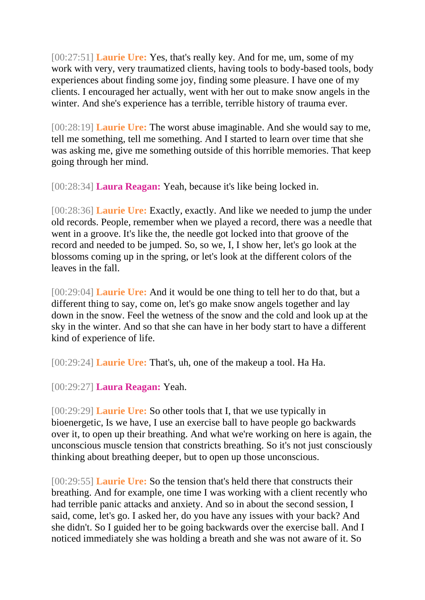[00:27:51] **Laurie Ure:** Yes, that's really key. And for me, um, some of my work with very, very traumatized clients, having tools to body-based tools, body experiences about finding some joy, finding some pleasure. I have one of my clients. I encouraged her actually, went with her out to make snow angels in the winter. And she's experience has a terrible, terrible history of trauma ever.

[00:28:19] **Laurie Ure:** The worst abuse imaginable. And she would say to me, tell me something, tell me something. And I started to learn over time that she was asking me, give me something outside of this horrible memories. That keep going through her mind.

[00:28:34] **Laura Reagan:** Yeah, because it's like being locked in.

[00:28:36] **Laurie Ure:** Exactly, exactly. And like we needed to jump the under old records. People, remember when we played a record, there was a needle that went in a groove. It's like the, the needle got locked into that groove of the record and needed to be jumped. So, so we, I, I show her, let's go look at the blossoms coming up in the spring, or let's look at the different colors of the leaves in the fall.

[00:29:04] **Laurie Ure:** And it would be one thing to tell her to do that, but a different thing to say, come on, let's go make snow angels together and lay down in the snow. Feel the wetness of the snow and the cold and look up at the sky in the winter. And so that she can have in her body start to have a different kind of experience of life.

[00:29:24] **Laurie Ure:** That's, uh, one of the makeup a tool. Ha Ha.

[00:29:27] **Laura Reagan:** Yeah.

[00:29:29] **Laurie Ure:** So other tools that I, that we use typically in bioenergetic, Is we have, I use an exercise ball to have people go backwards over it, to open up their breathing. And what we're working on here is again, the unconscious muscle tension that constricts breathing. So it's not just consciously thinking about breathing deeper, but to open up those unconscious.

[00:29:55] **Laurie Ure:** So the tension that's held there that constructs their breathing. And for example, one time I was working with a client recently who had terrible panic attacks and anxiety. And so in about the second session, I said, come, let's go. I asked her, do you have any issues with your back? And she didn't. So I guided her to be going backwards over the exercise ball. And I noticed immediately she was holding a breath and she was not aware of it. So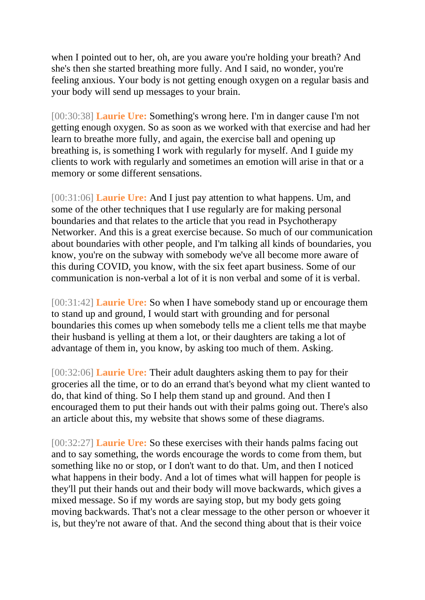when I pointed out to her, oh, are you aware you're holding your breath? And she's then she started breathing more fully. And I said, no wonder, you're feeling anxious. Your body is not getting enough oxygen on a regular basis and your body will send up messages to your brain.

[00:30:38] **Laurie Ure:** Something's wrong here. I'm in danger cause I'm not getting enough oxygen. So as soon as we worked with that exercise and had her learn to breathe more fully, and again, the exercise ball and opening up breathing is, is something I work with regularly for myself. And I guide my clients to work with regularly and sometimes an emotion will arise in that or a memory or some different sensations.

[00:31:06] **Laurie Ure:** And I just pay attention to what happens. Um, and some of the other techniques that I use regularly are for making personal boundaries and that relates to the article that you read in Psychotherapy Networker. And this is a great exercise because. So much of our communication about boundaries with other people, and I'm talking all kinds of boundaries, you know, you're on the subway with somebody we've all become more aware of this during COVID, you know, with the six feet apart business. Some of our communication is non-verbal a lot of it is non verbal and some of it is verbal.

[00:31:42] **Laurie Ure:** So when I have somebody stand up or encourage them to stand up and ground, I would start with grounding and for personal boundaries this comes up when somebody tells me a client tells me that maybe their husband is yelling at them a lot, or their daughters are taking a lot of advantage of them in, you know, by asking too much of them. Asking.

[00:32:06] **Laurie Ure:** Their adult daughters asking them to pay for their groceries all the time, or to do an errand that's beyond what my client wanted to do, that kind of thing. So I help them stand up and ground. And then I encouraged them to put their hands out with their palms going out. There's also an article about this, my website that shows some of these diagrams.

[00:32:27] **Laurie Ure:** So these exercises with their hands palms facing out and to say something, the words encourage the words to come from them, but something like no or stop, or I don't want to do that. Um, and then I noticed what happens in their body. And a lot of times what will happen for people is they'll put their hands out and their body will move backwards, which gives a mixed message. So if my words are saying stop, but my body gets going moving backwards. That's not a clear message to the other person or whoever it is, but they're not aware of that. And the second thing about that is their voice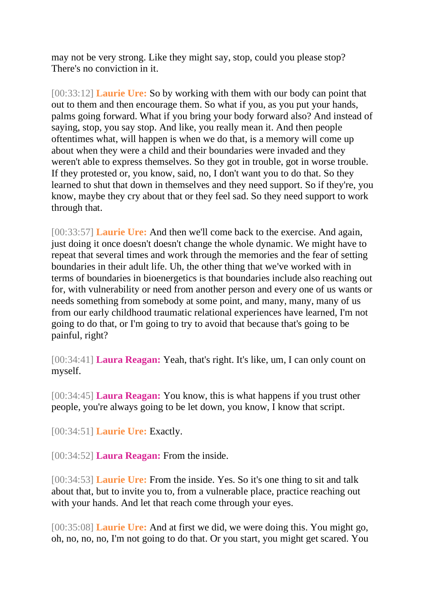may not be very strong. Like they might say, stop, could you please stop? There's no conviction in it.

[00:33:12] **Laurie Ure:** So by working with them with our body can point that out to them and then encourage them. So what if you, as you put your hands, palms going forward. What if you bring your body forward also? And instead of saying, stop, you say stop. And like, you really mean it. And then people oftentimes what, will happen is when we do that, is a memory will come up about when they were a child and their boundaries were invaded and they weren't able to express themselves. So they got in trouble, got in worse trouble. If they protested or, you know, said, no, I don't want you to do that. So they learned to shut that down in themselves and they need support. So if they're, you know, maybe they cry about that or they feel sad. So they need support to work through that.

[00:33:57] **Laurie Ure:** And then we'll come back to the exercise. And again, just doing it once doesn't doesn't change the whole dynamic. We might have to repeat that several times and work through the memories and the fear of setting boundaries in their adult life. Uh, the other thing that we've worked with in terms of boundaries in bioenergetics is that boundaries include also reaching out for, with vulnerability or need from another person and every one of us wants or needs something from somebody at some point, and many, many, many of us from our early childhood traumatic relational experiences have learned, I'm not going to do that, or I'm going to try to avoid that because that's going to be painful, right?

[00:34:41] **Laura Reagan:** Yeah, that's right. It's like, um, I can only count on myself.

[00:34:45] **Laura Reagan:** You know, this is what happens if you trust other people, you're always going to be let down, you know, I know that script.

[00:34:51] **Laurie Ure:** Exactly.

[00:34:52] **Laura Reagan:** From the inside.

[00:34:53] **Laurie Ure:** From the inside. Yes. So it's one thing to sit and talk about that, but to invite you to, from a vulnerable place, practice reaching out with your hands. And let that reach come through your eyes.

[00:35:08] **Laurie Ure:** And at first we did, we were doing this. You might go, oh, no, no, no, I'm not going to do that. Or you start, you might get scared. You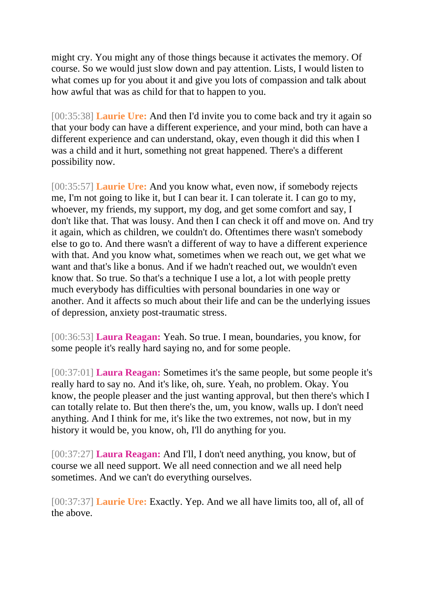might cry. You might any of those things because it activates the memory. Of course. So we would just slow down and pay attention. Lists, I would listen to what comes up for you about it and give you lots of compassion and talk about how awful that was as child for that to happen to you.

[00:35:38] **Laurie Ure:** And then I'd invite you to come back and try it again so that your body can have a different experience, and your mind, both can have a different experience and can understand, okay, even though it did this when I was a child and it hurt, something not great happened. There's a different possibility now.

[00:35:57] **Laurie Ure:** And you know what, even now, if somebody rejects me, I'm not going to like it, but I can bear it. I can tolerate it. I can go to my, whoever, my friends, my support, my dog, and get some comfort and say, I don't like that. That was lousy. And then I can check it off and move on. And try it again, which as children, we couldn't do. Oftentimes there wasn't somebody else to go to. And there wasn't a different of way to have a different experience with that. And you know what, sometimes when we reach out, we get what we want and that's like a bonus. And if we hadn't reached out, we wouldn't even know that. So true. So that's a technique I use a lot, a lot with people pretty much everybody has difficulties with personal boundaries in one way or another. And it affects so much about their life and can be the underlying issues of depression, anxiety post-traumatic stress.

[00:36:53] **Laura Reagan:** Yeah. So true. I mean, boundaries, you know, for some people it's really hard saying no, and for some people.

[00:37:01] **Laura Reagan:** Sometimes it's the same people, but some people it's really hard to say no. And it's like, oh, sure. Yeah, no problem. Okay. You know, the people pleaser and the just wanting approval, but then there's which I can totally relate to. But then there's the, um, you know, walls up. I don't need anything. And I think for me, it's like the two extremes, not now, but in my history it would be, you know, oh, I'll do anything for you.

[00:37:27] **Laura Reagan:** And I'll, I don't need anything, you know, but of course we all need support. We all need connection and we all need help sometimes. And we can't do everything ourselves.

[00:37:37] **Laurie Ure:** Exactly. Yep. And we all have limits too, all of, all of the above.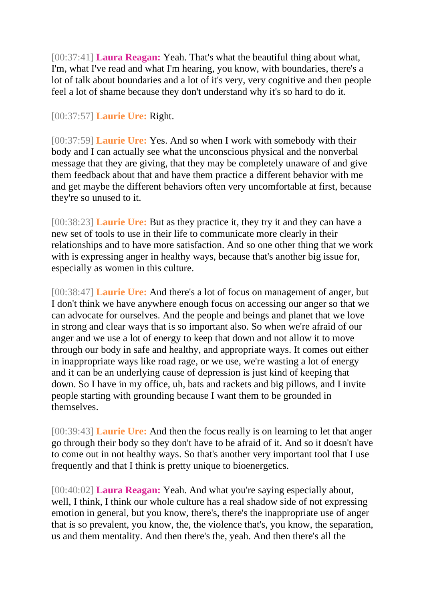[00:37:41] **Laura Reagan:** Yeah. That's what the beautiful thing about what, I'm, what I've read and what I'm hearing, you know, with boundaries, there's a lot of talk about boundaries and a lot of it's very, very cognitive and then people feel a lot of shame because they don't understand why it's so hard to do it.

## [00:37:57] **Laurie Ure:** Right.

[00:37:59] **Laurie Ure:** Yes. And so when I work with somebody with their body and I can actually see what the unconscious physical and the nonverbal message that they are giving, that they may be completely unaware of and give them feedback about that and have them practice a different behavior with me and get maybe the different behaviors often very uncomfortable at first, because they're so unused to it.

[00:38:23] **Laurie Ure:** But as they practice it, they try it and they can have a new set of tools to use in their life to communicate more clearly in their relationships and to have more satisfaction. And so one other thing that we work with is expressing anger in healthy ways, because that's another big issue for, especially as women in this culture.

[00:38:47] **Laurie Ure:** And there's a lot of focus on management of anger, but I don't think we have anywhere enough focus on accessing our anger so that we can advocate for ourselves. And the people and beings and planet that we love in strong and clear ways that is so important also. So when we're afraid of our anger and we use a lot of energy to keep that down and not allow it to move through our body in safe and healthy, and appropriate ways. It comes out either in inappropriate ways like road rage, or we use, we're wasting a lot of energy and it can be an underlying cause of depression is just kind of keeping that down. So I have in my office, uh, bats and rackets and big pillows, and I invite people starting with grounding because I want them to be grounded in themselves.

[00:39:43] **Laurie Ure:** And then the focus really is on learning to let that anger go through their body so they don't have to be afraid of it. And so it doesn't have to come out in not healthy ways. So that's another very important tool that I use frequently and that I think is pretty unique to bioenergetics.

[00:40:02] **Laura Reagan:** Yeah. And what you're saying especially about, well, I think, I think our whole culture has a real shadow side of not expressing emotion in general, but you know, there's, there's the inappropriate use of anger that is so prevalent, you know, the, the violence that's, you know, the separation, us and them mentality. And then there's the, yeah. And then there's all the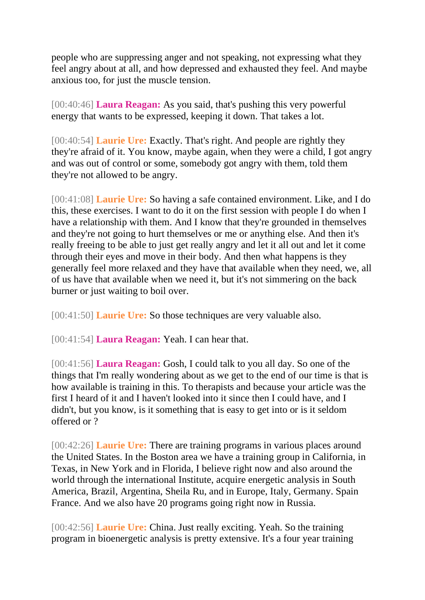people who are suppressing anger and not speaking, not expressing what they feel angry about at all, and how depressed and exhausted they feel. And maybe anxious too, for just the muscle tension.

[00:40:46] **Laura Reagan:** As you said, that's pushing this very powerful energy that wants to be expressed, keeping it down. That takes a lot.

[00:40:54] **Laurie Ure:** Exactly. That's right. And people are rightly they they're afraid of it. You know, maybe again, when they were a child, I got angry and was out of control or some, somebody got angry with them, told them they're not allowed to be angry.

[00:41:08] **Laurie Ure:** So having a safe contained environment. Like, and I do this, these exercises. I want to do it on the first session with people I do when I have a relationship with them. And I know that they're grounded in themselves and they're not going to hurt themselves or me or anything else. And then it's really freeing to be able to just get really angry and let it all out and let it come through their eyes and move in their body. And then what happens is they generally feel more relaxed and they have that available when they need, we, all of us have that available when we need it, but it's not simmering on the back burner or just waiting to boil over.

[00:41:50] **Laurie Ure:** So those techniques are very valuable also.

[00:41:54] **Laura Reagan:** Yeah. I can hear that.

[00:41:56] **Laura Reagan:** Gosh, I could talk to you all day. So one of the things that I'm really wondering about as we get to the end of our time is that is how available is training in this. To therapists and because your article was the first I heard of it and I haven't looked into it since then I could have, and I didn't, but you know, is it something that is easy to get into or is it seldom offered or ?

[00:42:26] **Laurie Ure:** There are training programs in various places around the United States. In the Boston area we have a training group in California, in Texas, in New York and in Florida, I believe right now and also around the world through the international Institute, acquire energetic analysis in South America, Brazil, Argentina, Sheila Ru, and in Europe, Italy, Germany. Spain France. And we also have 20 programs going right now in Russia.

[00:42:56] **Laurie Ure:** China. Just really exciting. Yeah. So the training program in bioenergetic analysis is pretty extensive. It's a four year training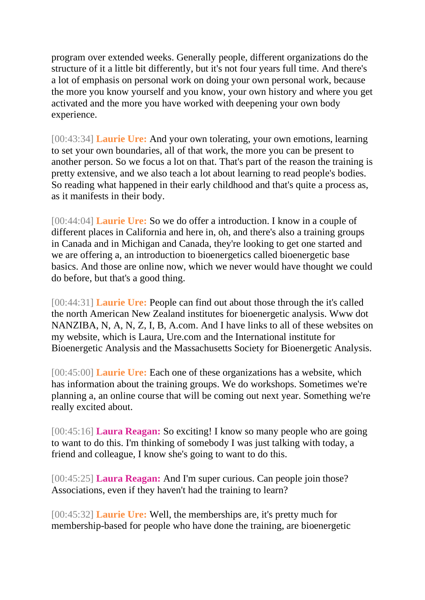program over extended weeks. Generally people, different organizations do the structure of it a little bit differently, but it's not four years full time. And there's a lot of emphasis on personal work on doing your own personal work, because the more you know yourself and you know, your own history and where you get activated and the more you have worked with deepening your own body experience.

[00:43:34] **Laurie Ure:** And your own tolerating, your own emotions, learning to set your own boundaries, all of that work, the more you can be present to another person. So we focus a lot on that. That's part of the reason the training is pretty extensive, and we also teach a lot about learning to read people's bodies. So reading what happened in their early childhood and that's quite a process as, as it manifests in their body.

[00:44:04] **Laurie Ure:** So we do offer a introduction. I know in a couple of different places in California and here in, oh, and there's also a training groups in Canada and in Michigan and Canada, they're looking to get one started and we are offering a, an introduction to bioenergetics called bioenergetic base basics. And those are online now, which we never would have thought we could do before, but that's a good thing.

[00:44:31] **Laurie Ure:** People can find out about those through the it's called the north American New Zealand institutes for bioenergetic analysis. Www dot NANZIBA, N, A, N, Z, I, B, A.com. And I have links to all of these websites on my website, which is Laura, Ure.com and the International institute for Bioenergetic Analysis and the Massachusetts Society for Bioenergetic Analysis.

[00:45:00] **Laurie Ure:** Each one of these organizations has a website, which has information about the training groups. We do workshops. Sometimes we're planning a, an online course that will be coming out next year. Something we're really excited about.

[00:45:16] **Laura Reagan:** So exciting! I know so many people who are going to want to do this. I'm thinking of somebody I was just talking with today, a friend and colleague, I know she's going to want to do this.

[00:45:25] **Laura Reagan:** And I'm super curious. Can people join those? Associations, even if they haven't had the training to learn?

[00:45:32] **Laurie Ure:** Well, the memberships are, it's pretty much for membership-based for people who have done the training, are bioenergetic